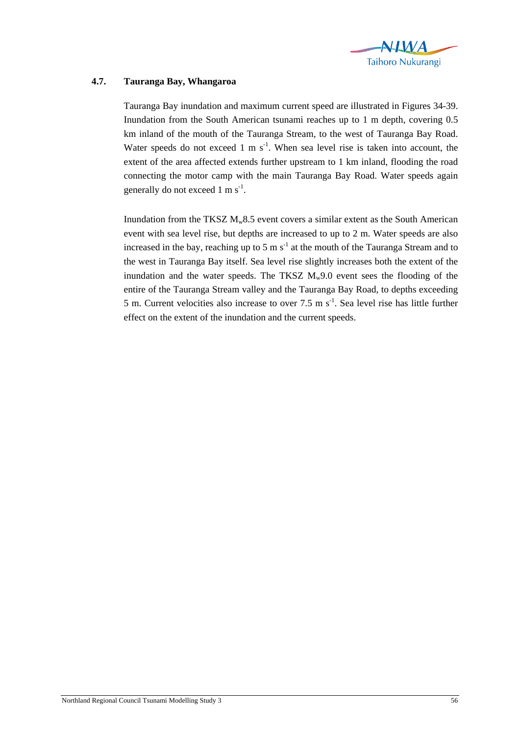

## **4.7. Tauranga Bay, Whangaroa**

Tauranga Bay inundation and maximum current speed are illustrated in Figures 34-39. Inundation from the South American tsunami reaches up to 1 m depth, covering 0.5 km inland of the mouth of the Tauranga Stream, to the west of Tauranga Bay Road. Water speeds do not exceed 1 m  $s^{-1}$ . When sea level rise is taken into account, the extent of the area affected extends further upstream to 1 km inland, flooding the road connecting the motor camp with the main Tauranga Bay Road. Water speeds again generally do not exceed  $1 \text{ m s}^{-1}$ .

Inundation from the TKSZ  $M_w 8.5$  event covers a similar extent as the South American event with sea level rise, but depths are increased to up to 2 m. Water speeds are also increased in the bay, reaching up to 5 m  $s^{-1}$  at the mouth of the Tauranga Stream and to the west in Tauranga Bay itself. Sea level rise slightly increases both the extent of the inundation and the water speeds. The TKSZ  $M_w9.0$  event sees the flooding of the entire of the Tauranga Stream valley and the Tauranga Bay Road, to depths exceeding 5 m. Current velocities also increase to over 7.5 m  $s^{-1}$ . Sea level rise has little further effect on the extent of the inundation and the current speeds.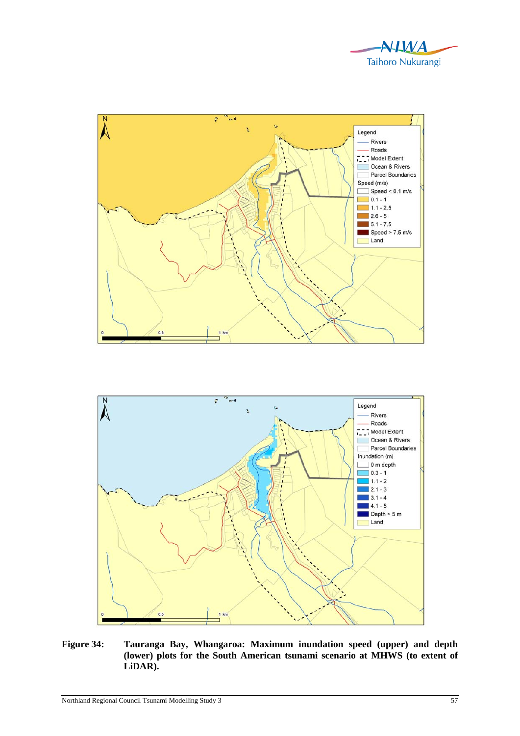





**Figure 34: Tauranga Bay, Whangaroa: Maximum inundation speed (upper) and depth (lower) plots for the South American tsunami scenario at MHWS (to extent of LiDAR).**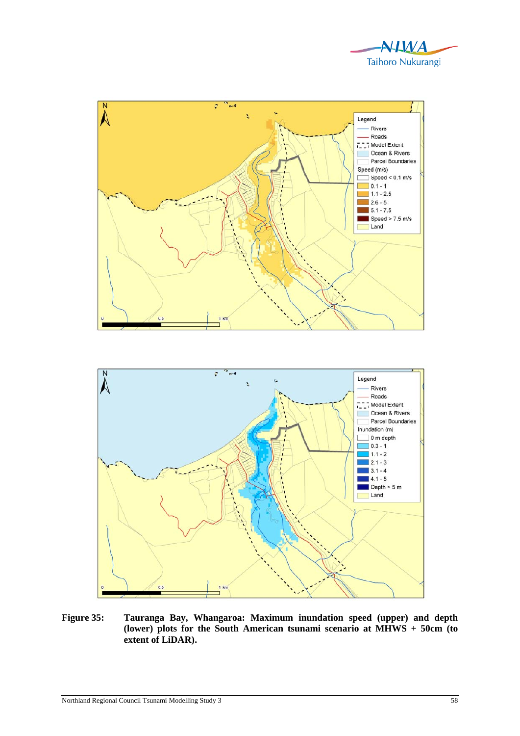





**Figure 35: Tauranga Bay, Whangaroa: Maximum inundation speed (upper) and depth (lower) plots for the South American tsunami scenario at MHWS + 50cm (to extent of LiDAR).**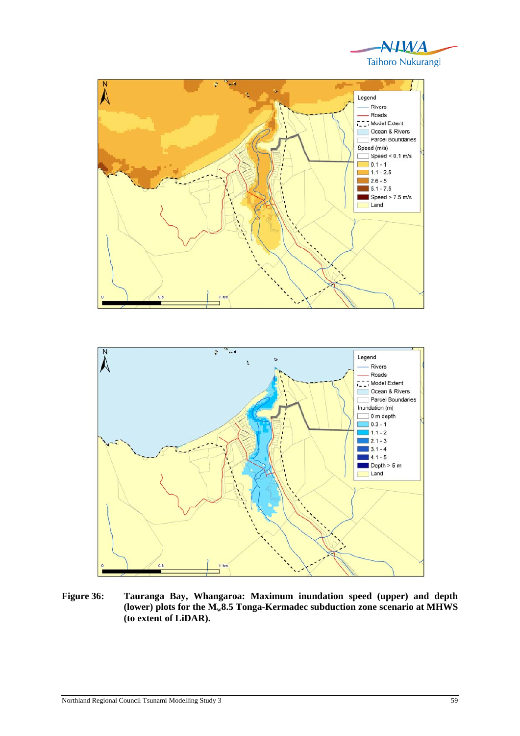





**Figure 36: Tauranga Bay, Whangaroa: Maximum inundation speed (upper) and depth**  (lower) plots for the  $M_{w}8.5$  Tonga-Kermadec subduction zone scenario at MHWS **(to extent of LiDAR).**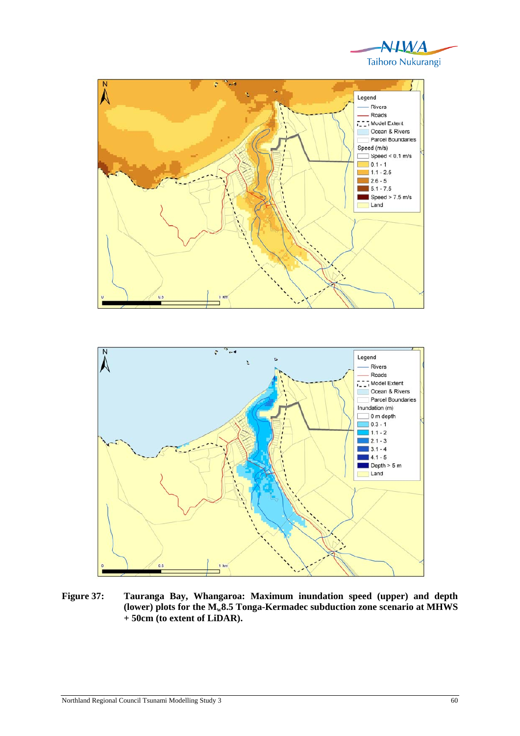





**Figure 37: Tauranga Bay, Whangaroa: Maximum inundation speed (upper) and depth**  (lower) plots for the  $M_{w}8.5$  Tonga-Kermadec subduction zone scenario at MHWS **+ 50cm (to extent of LiDAR).**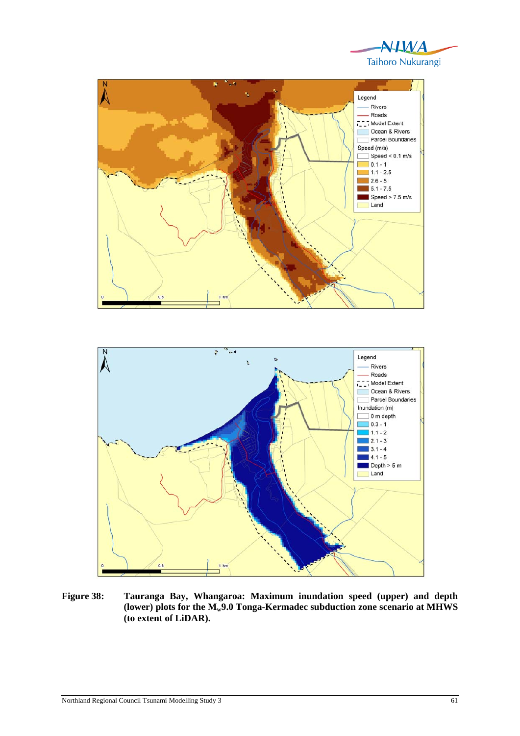





**Figure 38: Tauranga Bay, Whangaroa: Maximum inundation speed (upper) and depth**  (lower) plots for the  $M_{w}9.0$  Tonga-Kermadec subduction zone scenario at MHWS **(to extent of LiDAR).**